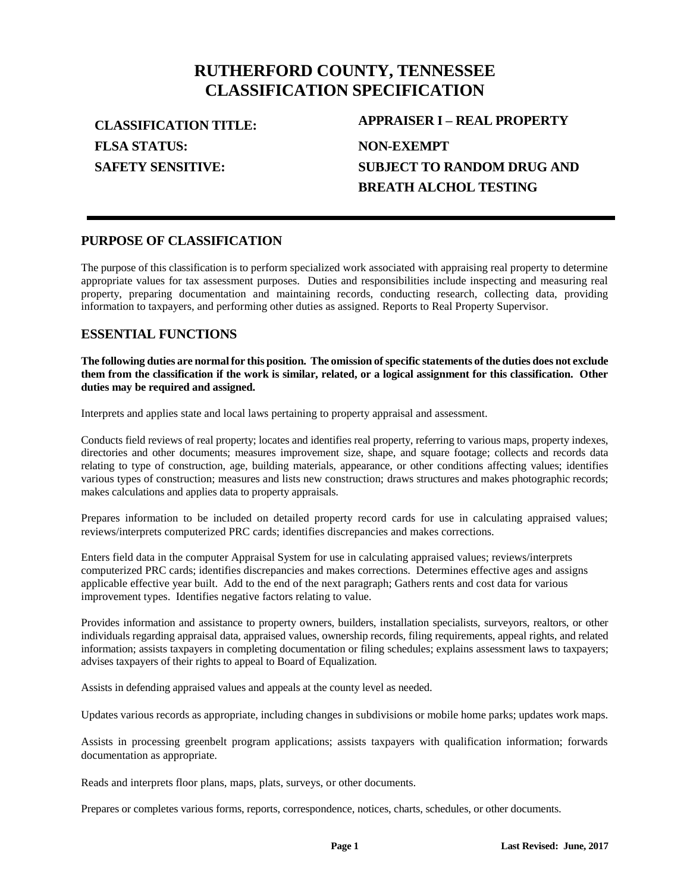# **RUTHERFORD COUNTY, TENNESSEE CLASSIFICATION SPECIFICATION**

**FLSA STATUS: SAFETY SENSITIVE:**

**CLASSIFICATION TITLE: APPRAISER I – REAL PROPERTY NON-EXEMPT SUBJECT TO RANDOM DRUG AND BREATH ALCHOL TESTING**

### **PURPOSE OF CLASSIFICATION**

The purpose of this classification is to perform specialized work associated with appraising real property to determine appropriate values for tax assessment purposes. Duties and responsibilities include inspecting and measuring real property, preparing documentation and maintaining records, conducting research, collecting data, providing information to taxpayers, and performing other duties as assigned. Reports to Real Property Supervisor.

# **ESSENTIAL FUNCTIONS**

**The following duties are normal for this position. The omission of specific statements of the duties does not exclude them from the classification if the work is similar, related, or a logical assignment for this classification. Other duties may be required and assigned.**

Interprets and applies state and local laws pertaining to property appraisal and assessment.

Conducts field reviews of real property; locates and identifies real property, referring to various maps, property indexes, directories and other documents; measures improvement size, shape, and square footage; collects and records data relating to type of construction, age, building materials, appearance, or other conditions affecting values; identifies various types of construction; measures and lists new construction; draws structures and makes photographic records; makes calculations and applies data to property appraisals.

Prepares information to be included on detailed property record cards for use in calculating appraised values; reviews/interprets computerized PRC cards; identifies discrepancies and makes corrections.

Enters field data in the computer Appraisal System for use in calculating appraised values; reviews/interprets computerized PRC cards; identifies discrepancies and makes corrections. Determines effective ages and assigns applicable effective year built. Add to the end of the next paragraph; Gathers rents and cost data for various improvement types. Identifies negative factors relating to value.

Provides information and assistance to property owners, builders, installation specialists, surveyors, realtors, or other individuals regarding appraisal data, appraised values, ownership records, filing requirements, appeal rights, and related information; assists taxpayers in completing documentation or filing schedules; explains assessment laws to taxpayers; advises taxpayers of their rights to appeal to Board of Equalization.

Assists in defending appraised values and appeals at the county level as needed.

Updates various records as appropriate, including changes in subdivisions or mobile home parks; updates work maps.

Assists in processing greenbelt program applications; assists taxpayers with qualification information; forwards documentation as appropriate.

Reads and interprets floor plans, maps, plats, surveys, or other documents.

Prepares or completes various forms, reports, correspondence, notices, charts, schedules, or other documents.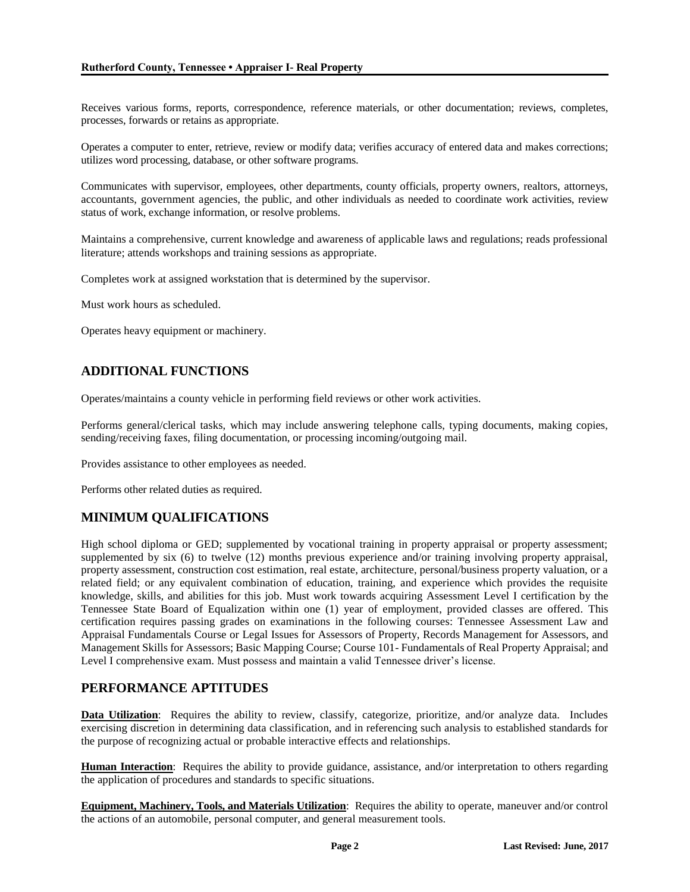Receives various forms, reports, correspondence, reference materials, or other documentation; reviews, completes, processes, forwards or retains as appropriate.

Operates a computer to enter, retrieve, review or modify data; verifies accuracy of entered data and makes corrections; utilizes word processing, database, or other software programs.

Communicates with supervisor, employees, other departments, county officials, property owners, realtors, attorneys, accountants, government agencies, the public, and other individuals as needed to coordinate work activities, review status of work, exchange information, or resolve problems.

Maintains a comprehensive, current knowledge and awareness of applicable laws and regulations; reads professional literature; attends workshops and training sessions as appropriate.

Completes work at assigned workstation that is determined by the supervisor.

Must work hours as scheduled.

Operates heavy equipment or machinery.

# **ADDITIONAL FUNCTIONS**

Operates/maintains a county vehicle in performing field reviews or other work activities.

Performs general/clerical tasks, which may include answering telephone calls, typing documents, making copies, sending/receiving faxes, filing documentation, or processing incoming/outgoing mail.

Provides assistance to other employees as needed.

Performs other related duties as required.

# **MINIMUM QUALIFICATIONS**

High school diploma or GED; supplemented by vocational training in property appraisal or property assessment; supplemented by six (6) to twelve (12) months previous experience and/or training involving property appraisal, property assessment, construction cost estimation, real estate, architecture, personal/business property valuation, or a related field; or any equivalent combination of education, training, and experience which provides the requisite knowledge, skills, and abilities for this job. Must work towards acquiring Assessment Level I certification by the Tennessee State Board of Equalization within one (1) year of employment, provided classes are offered. This certification requires passing grades on examinations in the following courses: Tennessee Assessment Law and Appraisal Fundamentals Course or Legal Issues for Assessors of Property, Records Management for Assessors, and Management Skills for Assessors; Basic Mapping Course; Course 101- Fundamentals of Real Property Appraisal; and Level I comprehensive exam. Must possess and maintain a valid Tennessee driver's license.

# **PERFORMANCE APTITUDES**

**Data Utilization**: Requires the ability to review, classify, categorize, prioritize, and/or analyze data. Includes exercising discretion in determining data classification, and in referencing such analysis to established standards for the purpose of recognizing actual or probable interactive effects and relationships.

**Human Interaction**: Requires the ability to provide guidance, assistance, and/or interpretation to others regarding the application of procedures and standards to specific situations.

**Equipment, Machinery, Tools, and Materials Utilization**: Requires the ability to operate, maneuver and/or control the actions of an automobile, personal computer, and general measurement tools.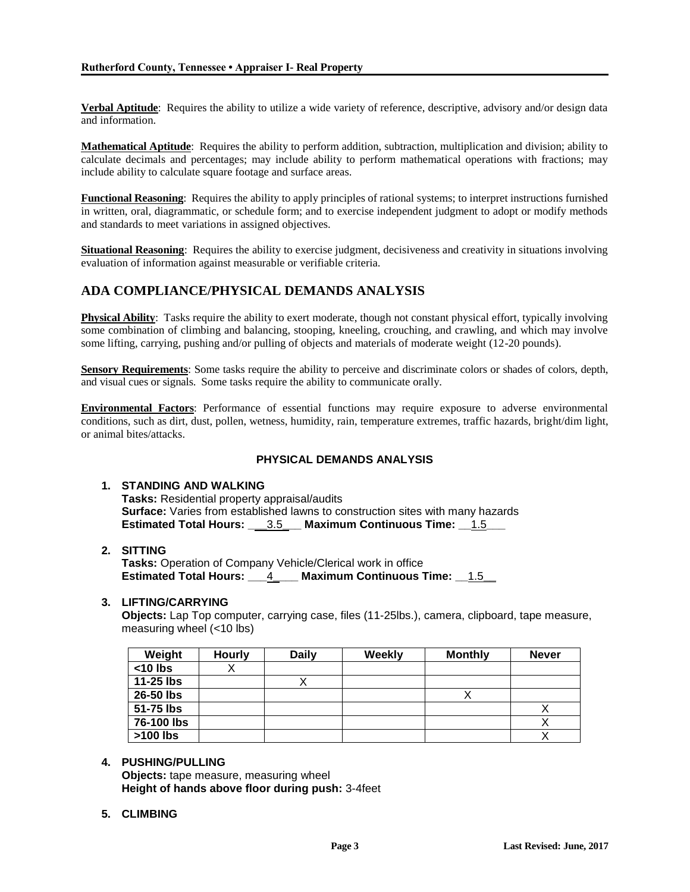**Verbal Aptitude**: Requires the ability to utilize a wide variety of reference, descriptive, advisory and/or design data and information.

**Mathematical Aptitude**: Requires the ability to perform addition, subtraction, multiplication and division; ability to calculate decimals and percentages; may include ability to perform mathematical operations with fractions; may include ability to calculate square footage and surface areas.

**Functional Reasoning**: Requires the ability to apply principles of rational systems; to interpret instructions furnished in written, oral, diagrammatic, or schedule form; and to exercise independent judgment to adopt or modify methods and standards to meet variations in assigned objectives.

**Situational Reasoning**: Requires the ability to exercise judgment, decisiveness and creativity in situations involving evaluation of information against measurable or verifiable criteria.

# **ADA COMPLIANCE/PHYSICAL DEMANDS ANALYSIS**

**Physical Ability**: Tasks require the ability to exert moderate, though not constant physical effort, typically involving some combination of climbing and balancing, stooping, kneeling, crouching, and crawling, and which may involve some lifting, carrying, pushing and/or pulling of objects and materials of moderate weight (12-20 pounds).

**Sensory Requirements**: Some tasks require the ability to perceive and discriminate colors or shades of colors, depth, and visual cues or signals. Some tasks require the ability to communicate orally.

**Environmental Factors**: Performance of essential functions may require exposure to adverse environmental conditions, such as dirt, dust, pollen, wetness, humidity, rain, temperature extremes, traffic hazards, bright/dim light, or animal bites/attacks.

#### **PHYSICAL DEMANDS ANALYSIS**

#### **1. STANDING AND WALKING**

**Tasks:** Residential property appraisal/audits **Surface:** Varies from established lawns to construction sites with many hazards **Estimated Total Hours: \_\_\_**3.5**\_\_\_ Maximum Continuous Time: \_\_**1.5**\_\_\_**

#### **2. SITTING**

**Tasks:** Operation of Company Vehicle/Clerical work in office **Estimated Total Hours: \_\_\_**4**\_\_\_\_ Maximum Continuous Time: \_\_**1.5**\_\_**

#### **3. LIFTING/CARRYING**

**Objects:** Lap Top computer, carrying case, files (11-25lbs.), camera, clipboard, tape measure, measuring wheel (<10 lbs)

| Weight     | <b>Hourly</b> | <b>Daily</b> | Weekly | <b>Monthly</b> | <b>Never</b> |
|------------|---------------|--------------|--------|----------------|--------------|
| $<$ 10 lbs |               |              |        |                |              |
| 11-25 lbs  |               |              |        |                |              |
| 26-50 lbs  |               |              |        |                |              |
| 51-75 lbs  |               |              |        |                |              |
| 76-100 lbs |               |              |        |                |              |
| $>100$ lbs |               |              |        |                |              |

#### **4. PUSHING/PULLING**

**Objects:** tape measure, measuring wheel **Height of hands above floor during push:** 3-4feet

**5. CLIMBING**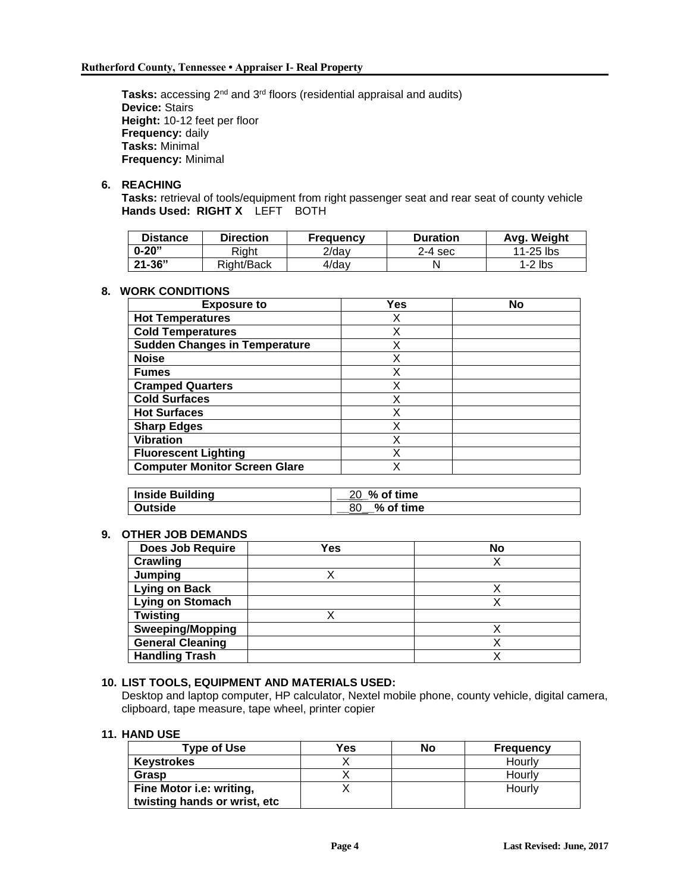**Tasks:** accessing 2nd and 3rd floors (residential appraisal and audits) **Device:** Stairs **Height:** 10-12 feet per floor **Frequency:** daily **Tasks:** Minimal **Frequency:** Minimal

#### **6. REACHING**

**Tasks:** retrieval of tools/equipment from right passenger seat and rear seat of county vehicle **Hands Used: RIGHT X** LEFT BOTH

| <b>Distance</b> | Direction  | <b>Frequency</b> | <b>Duration</b> | Avg. Weight |
|-----------------|------------|------------------|-----------------|-------------|
| $0 - 20"$       | Right      | 2/dav            | $2-4$ sec       | $11-25$ lbs |
| $21 - 36"$      | Right/Back | 4/day            |                 | 1-2 lbs     |

#### **8. WORK CONDITIONS**

| <b>Exposure to</b>                   | Yes | No |
|--------------------------------------|-----|----|
| <b>Hot Temperatures</b>              | Х   |    |
| <b>Cold Temperatures</b>             | X   |    |
| <b>Sudden Changes in Temperature</b> | Χ   |    |
| <b>Noise</b>                         | X   |    |
| <b>Fumes</b>                         | X   |    |
| <b>Cramped Quarters</b>              | Χ   |    |
| <b>Cold Surfaces</b>                 | Χ   |    |
| <b>Hot Surfaces</b>                  | X   |    |
| <b>Sharp Edges</b>                   | х   |    |
| <b>Vibration</b>                     | Χ   |    |
| <b>Fluorescent Lighting</b>          | Χ   |    |
| <b>Computer Monitor Screen Glare</b> | Χ   |    |

| Inside Building | 20 % of time |
|-----------------|--------------|
| ∣ Outside       | $%$ of time  |

### **9. OTHER JOB DEMANDS**

| <b>Does Job Require</b> | Yes | <b>No</b> |
|-------------------------|-----|-----------|
| Crawling                |     |           |
| Jumping                 |     |           |
| <b>Lying on Back</b>    |     |           |
| <b>Lying on Stomach</b> |     |           |
| <b>Twisting</b>         |     |           |
| <b>Sweeping/Mopping</b> |     |           |
| <b>General Cleaning</b> |     |           |
| <b>Handling Trash</b>   |     |           |

## **10. LIST TOOLS, EQUIPMENT AND MATERIALS USED:**

Desktop and laptop computer, HP calculator, Nextel mobile phone, county vehicle, digital camera, clipboard, tape measure, tape wheel, printer copier

#### **11. HAND USE**

| <b>Type of Use</b>           | Yes | No | Frequency |
|------------------------------|-----|----|-----------|
| <b>Keystrokes</b>            |     |    | Hourly    |
| Grasp                        |     |    | Hourly    |
| Fine Motor i.e: writing,     |     |    | Hourly    |
| twisting hands or wrist, etc |     |    |           |